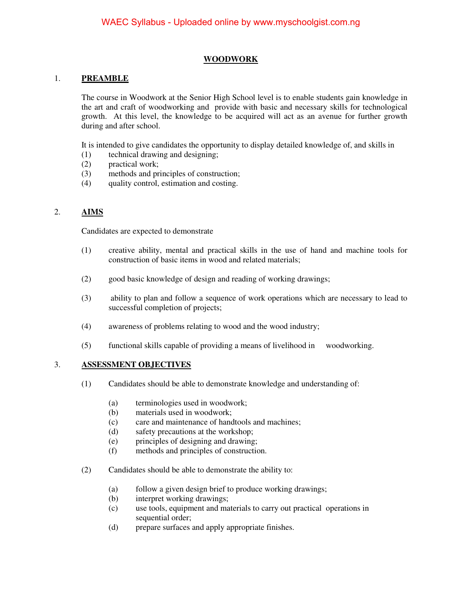### **WOODWORK**

#### 1. **PREAMBLE**

The course in Woodwork at the Senior High School level is to enable students gain knowledge in the art and craft of woodworking and provide with basic and necessary skills for technological growth. At this level, the knowledge to be acquired will act as an avenue for further growth during and after school.

It is intended to give candidates the opportunity to display detailed knowledge of, and skills in

- (1) technical drawing and designing;
- (2) practical work;
- (3) methods and principles of construction;
- (4) quality control, estimation and costing.

### 2. **AIMS**

Candidates are expected to demonstrate

- (1) creative ability, mental and practical skills in the use of hand and machine tools for construction of basic items in wood and related materials;
- (2) good basic knowledge of design and reading of working drawings;
- (3) ability to plan and follow a sequence of work operations which are necessary to lead to successful completion of projects;
- (4) awareness of problems relating to wood and the wood industry;
- (5) functional skills capable of providing a means of livelihood in woodworking.

#### 3. **ASSESSMENT OBJECTIVES**

- (1) Candidates should be able to demonstrate knowledge and understanding of:
	- (a) terminologies used in woodwork;
	- (b) materials used in woodwork;
	- (c) care and maintenance of handtools and machines;
	- (d) safety precautions at the workshop;
	- (e) principles of designing and drawing;
	- (f) methods and principles of construction.
- (2) Candidates should be able to demonstrate the ability to:
	- (a) follow a given design brief to produce working drawings;
	- (b) interpret working drawings;
	- (c) use tools, equipment and materials to carry out practical operations in sequential order;
	- (d) prepare surfaces and apply appropriate finishes.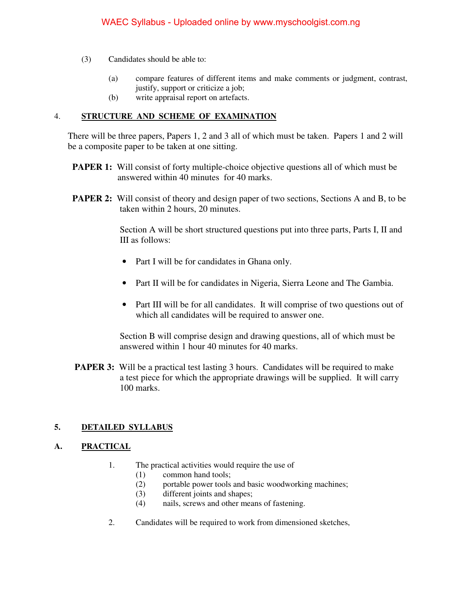- (3) Candidates should be able to:
	- (a) compare features of different items and make comments or judgment, contrast, justify, support or criticize a job;
	- (b) write appraisal report on artefacts.

### 4. **STRUCTURE AND SCHEME OF EXAMINATION**

 There will be three papers, Papers 1, 2 and 3 all of which must be taken. Papers 1 and 2 will be a composite paper to be taken at one sitting.

- **PAPER 1:** Will consist of forty multiple-choice objective questions all of which must be answered within 40 minutes for 40 marks.
- **PAPER 2:** Will consist of theory and design paper of two sections, Sections A and B, to be taken within 2 hours, 20 minutes.

 Section A will be short structured questions put into three parts, Parts I, II and III as follows:

- Part I will be for candidates in Ghana only.
- Part II will be for candidates in Nigeria, Sierra Leone and The Gambia.
- Part III will be for all candidates. It will comprise of two questions out of which all candidates will be required to answer one.

 Section B will comprise design and drawing questions, all of which must be answered within 1 hour 40 minutes for 40 marks.

**PAPER 3:** Will be a practical test lasting 3 hours. Candidates will be required to make a test piece for which the appropriate drawings will be supplied. It will carry 100 marks.

### **5. DETAILED SYLLABUS**

### **A. PRACTICAL**

- 1. The practical activities would require the use of
	- (1) common hand tools;
	- (2) portable power tools and basic woodworking machines;
	- (3) different joints and shapes;
	- (4) nails, screws and other means of fastening.
- 2. Candidates will be required to work from dimensioned sketches,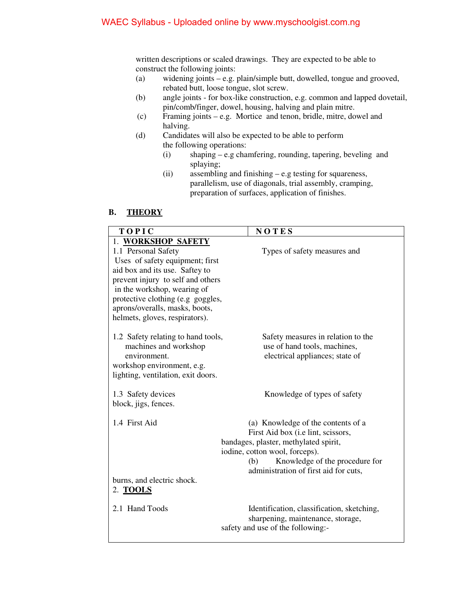written descriptions or scaled drawings. They are expected to be able to construct the following joints:

- (a) widening joints e.g. plain/simple butt, dowelled, tongue and grooved, rebated butt, loose tongue, slot screw.
- (b) angle joints for box-like construction, e.g. common and lapped dovetail, pin/comb/finger, dowel, housing, halving and plain mitre.
- (c) Framing joints e.g. Mortice and tenon, bridle, mitre, dowel and halving.
- (d) Candidates will also be expected to be able to perform the following operations:
	- (i) shaping e.g chamfering, rounding, tapering, beveling and splaying;
	- (ii) assembling and finishing e.g testing for squareness, parallelism, use of diagonals, trial assembly, cramping, preparation of surfaces, application of finishes.

### **B. THEORY**

| <b>TOPIC</b>                                                     | NOTES                                                                          |
|------------------------------------------------------------------|--------------------------------------------------------------------------------|
| 1. WORKSHOP SAFETY                                               |                                                                                |
| 1.1 Personal Safety                                              | Types of safety measures and                                                   |
| Uses of safety equipment; first                                  |                                                                                |
| aid box and its use. Saftey to                                   |                                                                                |
| prevent injury to self and others                                |                                                                                |
| in the workshop, wearing of                                      |                                                                                |
| protective clothing (e.g goggles,                                |                                                                                |
| aprons/overalls, masks, boots,                                   |                                                                                |
| helmets, gloves, respirators).                                   |                                                                                |
| 1.2 Safety relating to hand tools,<br>machines and workshop      | Safety measures in relation to the<br>use of hand tools, machines,             |
| environment.                                                     | electrical appliances; state of                                                |
| workshop environment, e.g.<br>lighting, ventilation, exit doors. |                                                                                |
|                                                                  |                                                                                |
| 1.3 Safety devices                                               | Knowledge of types of safety                                                   |
| block, jigs, fences.                                             |                                                                                |
|                                                                  |                                                                                |
| 1.4 First Aid                                                    | (a) Knowledge of the contents of a                                             |
|                                                                  | First Aid box (i.e lint, scissors,                                             |
|                                                                  | bandages, plaster, methylated spirit,                                          |
|                                                                  | iodine, cotton wool, forceps).                                                 |
|                                                                  | Knowledge of the procedure for<br>(b)<br>administration of first aid for cuts, |
| burns, and electric shock.                                       |                                                                                |
| 2. <b>TOOLS</b>                                                  |                                                                                |
| 2.1 Hand Toods                                                   | Identification, classification, sketching,                                     |
|                                                                  | sharpening, maintenance, storage,                                              |
|                                                                  | safety and use of the following:-                                              |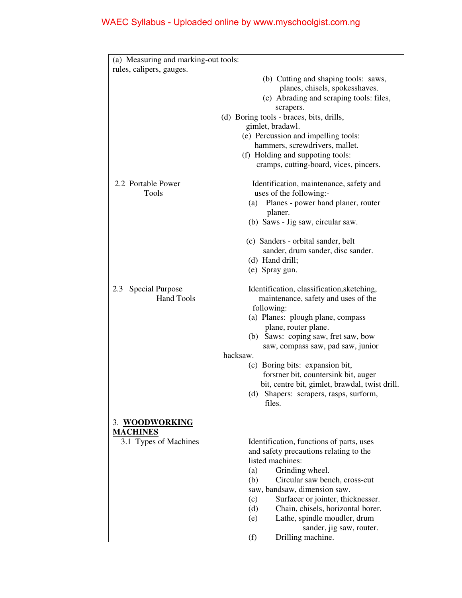| (a) Measuring and marking-out tools:        |                                                                                                                                                                                                |
|---------------------------------------------|------------------------------------------------------------------------------------------------------------------------------------------------------------------------------------------------|
| rules, calipers, gauges.                    |                                                                                                                                                                                                |
|                                             | (b) Cutting and shaping tools: saws,<br>planes, chisels, spokesshaves.<br>(c) Abrading and scraping tools: files,<br>scrapers.<br>(d) Boring tools - braces, bits, drills,<br>gimlet, bradawl. |
|                                             | (e) Percussion and impelling tools:<br>hammers, screwdrivers, mallet.                                                                                                                          |
|                                             | (f) Holding and suppoting tools:<br>cramps, cutting-board, vices, pincers.                                                                                                                     |
| 2.2 Portable Power<br>Tools                 | Identification, maintenance, safety and<br>uses of the following:-<br>Planes - power hand planer, router<br>(a)<br>planer.<br>(b) Saws - Jig saw, circular saw.                                |
|                                             |                                                                                                                                                                                                |
|                                             | (c) Sanders - orbital sander, belt<br>sander, drum sander, disc sander.<br>(d) Hand drill;<br>(e) Spray gun.                                                                                   |
| Special Purpose<br>2.3<br><b>Hand Tools</b> | Identification, classification, sketching,<br>maintenance, safety and uses of the<br>following:                                                                                                |
|                                             | (a) Planes: plough plane, compass<br>plane, router plane.                                                                                                                                      |
|                                             | (b) Saws: coping saw, fret saw, bow<br>saw, compass saw, pad saw, junior                                                                                                                       |
|                                             | hacksaw.                                                                                                                                                                                       |
|                                             | (c) Boring bits: expansion bit,<br>forstner bit, countersink bit, auger<br>bit, centre bit, gimlet, brawdal, twist drill.<br>Shapers: scrapers, rasps, surform,<br>(d)                         |
|                                             | files.                                                                                                                                                                                         |
| 3. WOODWORKING<br><b>MACHINES</b>           |                                                                                                                                                                                                |
| 3.1 Types of Machines                       | Identification, functions of parts, uses<br>and safety precautions relating to the<br>listed machines:                                                                                         |
|                                             | Grinding wheel.<br>(a)                                                                                                                                                                         |
|                                             | Circular saw bench, cross-cut<br>(b)<br>saw, bandsaw, dimension saw.                                                                                                                           |
|                                             | Surfacer or jointer, thicknesser.<br>(c)                                                                                                                                                       |
|                                             | Chain, chisels, horizontal borer.<br>(d)                                                                                                                                                       |
|                                             | Lathe, spindle moudler, drum<br>(e)<br>sander, jig saw, router.                                                                                                                                |
|                                             | Drilling machine.<br>(f)                                                                                                                                                                       |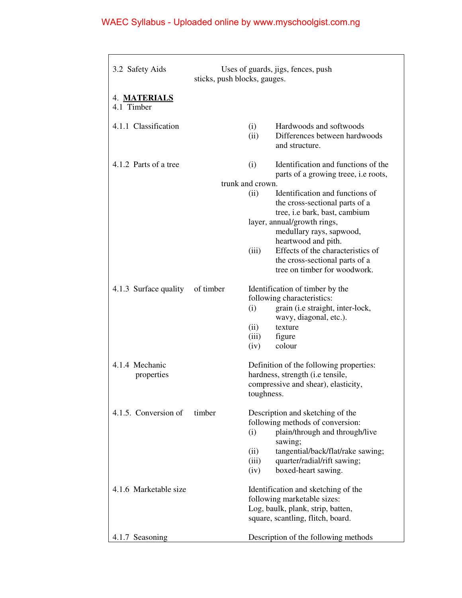| 3.2 Safety Aids              | sticks, push blocks, gauges. |                  | Uses of guards, jigs, fences, push                                                                  |
|------------------------------|------------------------------|------------------|-----------------------------------------------------------------------------------------------------|
| 4. MATERIALS<br>4.1 Timber   |                              |                  |                                                                                                     |
| 4.1.1 Classification         |                              | (i)<br>(ii)      | Hardwoods and softwoods<br>Differences between hardwoods<br>and structure.                          |
| 4.1.2 Parts of a tree        |                              | (i)              | Identification and functions of the<br>parts of a growing treee, i.e roots,                         |
|                              |                              | trunk and crown. |                                                                                                     |
|                              |                              | (ii)             | Identification and functions of<br>the cross-sectional parts of a<br>tree, i.e bark, bast, cambium  |
|                              |                              |                  | layer, annual/growth rings,<br>medullary rays, sapwood,<br>heartwood and pith.                      |
|                              |                              | (iii)            | Effects of the characteristics of<br>the cross-sectional parts of a<br>tree on timber for woodwork. |
| 4.1.3 Surface quality        | of timber                    |                  | Identification of timber by the                                                                     |
|                              |                              |                  | following characteristics:                                                                          |
|                              |                              | (i)              | grain (i.e straight, inter-lock,                                                                    |
|                              |                              | (ii)             | wavy, diagonal, etc.).<br>texture                                                                   |
|                              |                              | (iii)            | figure                                                                                              |
|                              |                              | (iv)             | colour                                                                                              |
| 4.1.4 Mechanic<br>properties |                              |                  | Definition of the following properties:<br>hardness, strength (i.e tensile,                         |
|                              |                              | toughness.       | compressive and shear), elasticity,                                                                 |
| 4.1.5. Conversion of         | timber                       |                  | Description and sketching of the                                                                    |
|                              |                              | (i)              | following methods of conversion:<br>plain/through and through/live<br>sawing;                       |
|                              |                              | (ii)             | tangential/back/flat/rake sawing;                                                                   |
|                              |                              | (iii)            | quarter/radial/rift sawing;                                                                         |
|                              |                              | (iv)             | boxed-heart sawing.                                                                                 |
| 4.1.6 Marketable size        |                              |                  | Identification and sketching of the                                                                 |
|                              |                              |                  | following marketable sizes:                                                                         |
|                              |                              |                  | Log, baulk, plank, strip, batten,<br>square, scantling, flitch, board.                              |
|                              |                              |                  |                                                                                                     |
| 4.1.7 Seasoning              |                              |                  | Description of the following methods                                                                |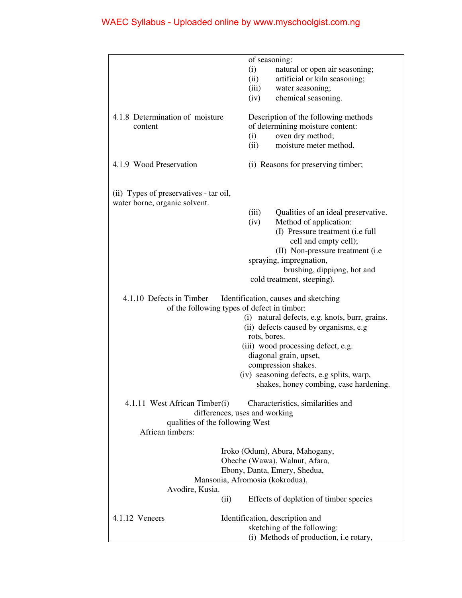|                                        | of seasoning:                                  |
|----------------------------------------|------------------------------------------------|
|                                        | (i)<br>natural or open air seasoning;          |
|                                        | artificial or kiln seasoning;<br>(ii)          |
|                                        | water seasoning;<br>(iii)                      |
|                                        | chemical seasoning.<br>(iv)                    |
|                                        |                                                |
| 4.1.8 Determination of moisture        | Description of the following methods           |
| content                                | of determining moisture content:               |
|                                        | oven dry method;<br>(i)                        |
|                                        | moisture meter method.<br>(ii)                 |
|                                        |                                                |
| 4.1.9 Wood Preservation                | (i) Reasons for preserving timber;             |
| (ii) Types of preservatives - tar oil, |                                                |
| water borne, organic solvent.          |                                                |
|                                        | (iii)<br>Qualities of an ideal preservative.   |
|                                        | Method of application:<br>(iv)                 |
|                                        | (I) Pressure treatment (i.e full               |
|                                        | cell and empty cell);                          |
|                                        | (II) Non-pressure treatment (i.e.              |
|                                        | spraying, impregnation,                        |
|                                        | brushing, dippipng, hot and                    |
|                                        | cold treatment, steeping).                     |
|                                        |                                                |
| 4.1.10 Defects in Timber               |                                                |
|                                        | Identification, causes and sketching           |
|                                        | of the following types of defect in timber:    |
|                                        | (i) natural defects, e.g. knots, burr, grains. |
|                                        | (ii) defects caused by organisms, e.g          |
|                                        | rots, bores.                                   |
|                                        | (iii) wood processing defect, e.g.             |
|                                        | diagonal grain, upset,                         |
|                                        | compression shakes.                            |
|                                        | (iv) seasoning defects, e.g splits, warp,      |
|                                        | shakes, honey combing, case hardening.         |
| 4.1.11 West African Timber(i)          | Characteristics, similarities and              |
|                                        | differences, uses and working                  |
| qualities of the following West        |                                                |
| African timbers:                       |                                                |
|                                        |                                                |
|                                        | Iroko (Odum), Abura, Mahogany,                 |
|                                        | Obeche (Wawa), Walnut, Afara,                  |
|                                        | Ebony, Danta, Emery, Shedua,                   |
|                                        | Mansonia, Afromosia (kokrodua),                |
| Avodire, Kusia.                        |                                                |
|                                        | Effects of depletion of timber species<br>(ii) |
| 4.1.12 Veneers                         | Identification, description and                |
|                                        | sketching of the following:                    |
|                                        | (i) Methods of production, i.e rotary,         |
|                                        |                                                |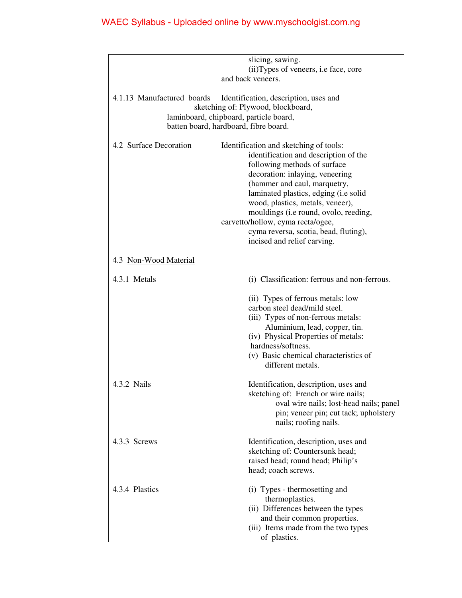|                                                                                                                                                                                              | slicing, sawing.<br>(ii) Types of veneers, i.e face, core<br>and back veneers.                                                                                                                                                                                                                                                                                                                                        |
|----------------------------------------------------------------------------------------------------------------------------------------------------------------------------------------------|-----------------------------------------------------------------------------------------------------------------------------------------------------------------------------------------------------------------------------------------------------------------------------------------------------------------------------------------------------------------------------------------------------------------------|
| 4.1.13 Manufactured boards<br>Identification, description, uses and<br>sketching of: Plywood, blockboard,<br>laminboard, chipboard, particle board,<br>batten board, hardboard, fibre board. |                                                                                                                                                                                                                                                                                                                                                                                                                       |
| 4.2 Surface Decoration                                                                                                                                                                       | Identification and sketching of tools:<br>identification and description of the<br>following methods of surface<br>decoration: inlaying, veneering<br>(hammer and caul, marquetry,<br>laminated plastics, edging (i.e solid<br>wood, plastics, metals, veneer),<br>mouldings (i.e round, ovolo, reeding,<br>carvetto/hollow, cyma recta/ogee,<br>cyma reversa, scotia, bead, fluting),<br>incised and relief carving. |
| 4.3 Non-Wood Material                                                                                                                                                                        |                                                                                                                                                                                                                                                                                                                                                                                                                       |
| 4.3.1 Metals                                                                                                                                                                                 | (i) Classification: ferrous and non-ferrous.                                                                                                                                                                                                                                                                                                                                                                          |
|                                                                                                                                                                                              | (ii) Types of ferrous metals: low<br>carbon steel dead/mild steel.<br>(iii) Types of non-ferrous metals:<br>Aluminium, lead, copper, tin.<br>(iv) Physical Properties of metals:<br>hardness/softness.<br>(v) Basic chemical characteristics of<br>different metals.                                                                                                                                                  |
| 4.3.2 Nails                                                                                                                                                                                  | Identification, description, uses and<br>sketching of: French or wire nails;<br>oval wire nails; lost-head nails; panel<br>pin; veneer pin; cut tack; upholstery<br>nails; roofing nails.                                                                                                                                                                                                                             |
| 4.3.3 Screws                                                                                                                                                                                 | Identification, description, uses and<br>sketching of: Countersunk head;<br>raised head; round head; Philip's<br>head; coach screws.                                                                                                                                                                                                                                                                                  |
| 4.3.4 Plastics                                                                                                                                                                               | (i) Types - thermosetting and<br>thermoplastics.<br>(ii) Differences between the types<br>and their common properties.<br>(iii) Items made from the two types<br>of plastics.                                                                                                                                                                                                                                         |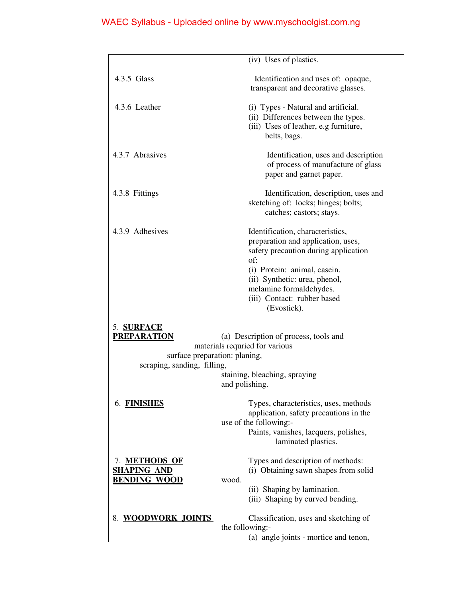|                                                                                                                                                                                                                                | (iv) Uses of plastics.                                                                                                                                                                                                                                          |
|--------------------------------------------------------------------------------------------------------------------------------------------------------------------------------------------------------------------------------|-----------------------------------------------------------------------------------------------------------------------------------------------------------------------------------------------------------------------------------------------------------------|
| 4.3.5 Glass                                                                                                                                                                                                                    | Identification and uses of: opaque,<br>transparent and decorative glasses.                                                                                                                                                                                      |
| 4.3.6 Leather                                                                                                                                                                                                                  | (i) Types - Natural and artificial.<br>(ii) Differences between the types.<br>(iii) Uses of leather, e.g furniture,<br>belts, bags.                                                                                                                             |
| 4.3.7 Abrasives                                                                                                                                                                                                                | Identification, uses and description<br>of process of manufacture of glass<br>paper and garnet paper.                                                                                                                                                           |
| 4.3.8 Fittings                                                                                                                                                                                                                 | Identification, description, uses and<br>sketching of: locks; hinges; bolts;<br>catches; castors; stays.                                                                                                                                                        |
| 4.3.9 Adhesives                                                                                                                                                                                                                | Identification, characteristics,<br>preparation and application, uses,<br>safety precaution during application<br>of:<br>(i) Protein: animal, casein.<br>(ii) Synthetic: urea, phenol,<br>melamine formaldehydes.<br>(iii) Contact: rubber based<br>(Evostick). |
| 5. SURFACE<br><b>PREPARATION</b><br>(a) Description of process, tools and<br>materials requried for various<br>surface preparation: planing,<br>scraping, sanding, filling,<br>staining, bleaching, spraying<br>and polishing. |                                                                                                                                                                                                                                                                 |
| 6. FINISHES                                                                                                                                                                                                                    | Types, characteristics, uses, methods<br>application, safety precautions in the<br>use of the following:-<br>Paints, vanishes, lacquers, polishes,<br>laminated plastics.                                                                                       |
| 7. METHODS OF<br><b>SHAPING AND</b><br><b>BENDING WOOD</b>                                                                                                                                                                     | Types and description of methods:<br>(i) Obtaining sawn shapes from solid<br>wood.<br>(ii) Shaping by lamination.<br>(iii) Shaping by curved bending.                                                                                                           |
| 8. WOODWORK JOINTS                                                                                                                                                                                                             | Classification, uses and sketching of<br>the following:-<br>(a) angle joints - mortice and tenon,                                                                                                                                                               |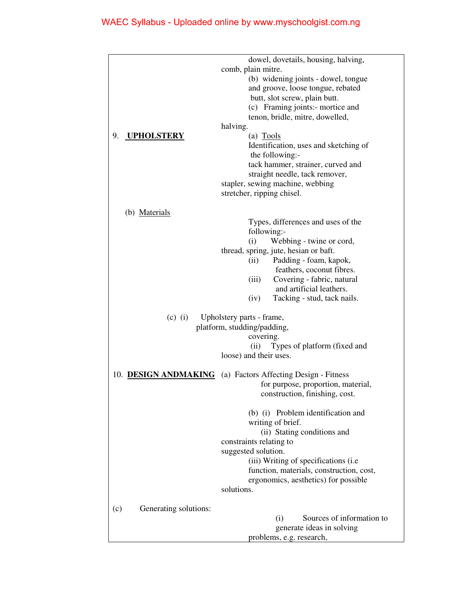|                              | dowel, dovetails, housing, halving,      |
|------------------------------|------------------------------------------|
|                              | comb, plain mitre.                       |
|                              | (b) widening joints - dowel, tongue      |
|                              | and groove, loose tongue, rebated        |
|                              | butt, slot screw, plain butt.            |
|                              | (c) Framing joints:- mortice and         |
|                              | tenon, bridle, mitre, dowelled,          |
|                              | halving.                                 |
| <b>UPHOLSTERY</b><br>9.      | (a) Tools                                |
|                              | Identification, uses and sketching of    |
|                              | the following:-                          |
|                              | tack hammer, strainer, curved and        |
|                              | straight needle, tack remover,           |
|                              | stapler, sewing machine, webbing         |
|                              | stretcher, ripping chisel.               |
|                              |                                          |
| (b) Materials                |                                          |
|                              | Types, differences and uses of the       |
|                              | following:-                              |
|                              | (i)<br>Webbing - twine or cord,          |
|                              | thread, spring, jute, hesian or baft.    |
|                              | Padding - foam, kapok,<br>(ii)           |
|                              | feathers, coconut fibres.                |
|                              | (iii)<br>Covering - fabric, natural      |
|                              | and artificial leathers.                 |
|                              | Tacking - stud, tack nails.<br>(iv)      |
| $(c)$ (i)                    | Upholstery parts - frame,                |
|                              | platform, studding/padding,<br>covering. |
|                              | (ii)<br>Types of platform (fixed and     |
|                              | loose) and their uses.                   |
|                              |                                          |
| 10. DESIGN ANDMAKING         | (a) Factors Affecting Design - Fitness   |
|                              | for purpose, proportion, material,       |
|                              | construction, finishing, cost.           |
|                              |                                          |
|                              | (b) (i) Problem identification and       |
|                              | writing of brief.                        |
|                              | (ii) Stating conditions and              |
|                              | constraints relating to                  |
|                              | suggested solution.                      |
|                              | (iii) Writing of specifications (i.e.    |
|                              | function, materials, construction, cost, |
|                              | ergonomics, aesthetics) for possible     |
|                              | solutions.                               |
|                              |                                          |
| Generating solutions:<br>(c) |                                          |
|                              | Sources of information to<br>(i)         |
|                              | generate ideas in solving                |
|                              | problems, e.g. research,                 |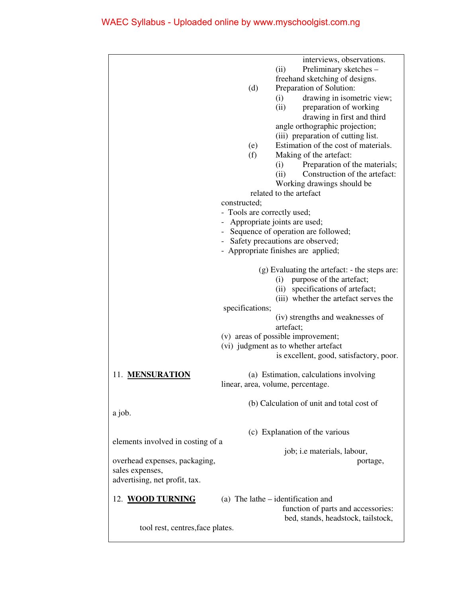|                                   | interviews, observations.                     |
|-----------------------------------|-----------------------------------------------|
|                                   | Preliminary sketches -<br>(ii)                |
|                                   | freehand sketching of designs.                |
|                                   | (d)<br>Preparation of Solution:               |
|                                   | (i)<br>drawing in isometric view;             |
|                                   | (ii)<br>preparation of working                |
|                                   | drawing in first and third                    |
|                                   | angle orthographic projection;                |
|                                   | (iii) preparation of cutting list.            |
|                                   | Estimation of the cost of materials.<br>(e)   |
|                                   | (f)<br>Making of the artefact:                |
|                                   | Preparation of the materials;<br>(i)          |
|                                   | Construction of the artefact:<br>(ii)         |
|                                   | Working drawings should be                    |
|                                   | related to the artefact                       |
|                                   | constructed;                                  |
|                                   | - Tools are correctly used;                   |
|                                   | - Appropriate joints are used;                |
|                                   | - Sequence of operation are followed;         |
|                                   | - Safety precautions are observed;            |
|                                   | - Appropriate finishes are applied;           |
|                                   |                                               |
|                                   | (g) Evaluating the artefact: - the steps are: |
|                                   | purpose of the artefact;<br>(i)               |
|                                   | (ii) specifications of artefact;              |
|                                   |                                               |
|                                   | (iii) whether the artefact serves the         |
|                                   | specifications;                               |
|                                   | (iv) strengths and weaknesses of<br>artefact; |
|                                   | (v) areas of possible improvement;            |
|                                   | (vi) judgment as to whether artefact          |
|                                   | is excellent, good, satisfactory, poor.       |
|                                   |                                               |
| 11. MENSURATION                   | (a) Estimation, calculations involving        |
|                                   | linear, area, volume, percentage.             |
|                                   |                                               |
|                                   | (b) Calculation of unit and total cost of     |
| a job.                            |                                               |
|                                   |                                               |
|                                   | (c) Explanation of the various                |
| elements involved in costing of a |                                               |
|                                   | job; i.e materials, labour,                   |
| overhead expenses, packaging,     | portage,                                      |
| sales expenses,                   |                                               |
| advertising, net profit, tax.     |                                               |
|                                   |                                               |
| 12. WOOD TURNING                  | (a) The lathe $-$ identification and          |
|                                   | function of parts and accessories:            |
|                                   | bed, stands, headstock, tailstock,            |
| tool rest, centres, face plates.  |                                               |
|                                   |                                               |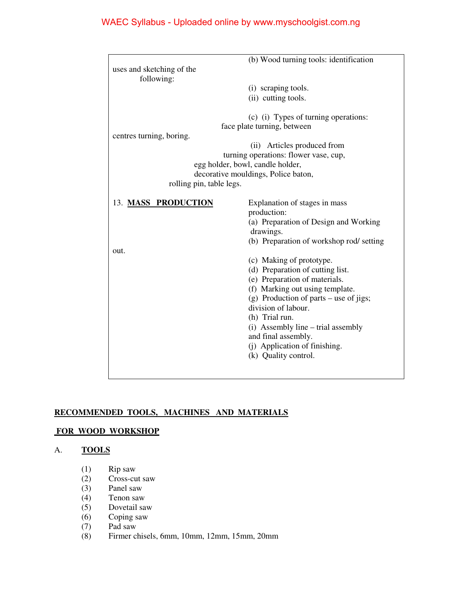|                           | (b) Wood turning tools: identification                                    |
|---------------------------|---------------------------------------------------------------------------|
| uses and sketching of the |                                                                           |
| following:                |                                                                           |
|                           | (i) scraping tools.                                                       |
|                           | (ii) cutting tools.                                                       |
|                           |                                                                           |
|                           | (c) (i) Types of turning operations:                                      |
|                           | face plate turning, between                                               |
| centres turning, boring.  |                                                                           |
|                           | (ii) Articles produced from                                               |
|                           | turning operations: flower vase, cup,<br>egg holder, bowl, candle holder, |
|                           | decorative mouldings, Police baton,                                       |
| rolling pin, table legs.  |                                                                           |
|                           |                                                                           |
| 13. MASS PRODUCTION       | Explanation of stages in mass                                             |
|                           | production:                                                               |
|                           | (a) Preparation of Design and Working                                     |
|                           | drawings.                                                                 |
|                           | (b) Preparation of workshop rod/ setting                                  |
| out.                      |                                                                           |
|                           | (c) Making of prototype.                                                  |
|                           | (d) Preparation of cutting list.                                          |
|                           | (e) Preparation of materials.                                             |
|                           | (f) Marking out using template.                                           |
|                           | (g) Production of parts – use of jigs;                                    |
|                           | division of labour.                                                       |
|                           | (h) Trial run.                                                            |
|                           | (i) Assembly line – trial assembly                                        |
|                           | and final assembly.                                                       |
|                           | (j) Application of finishing.                                             |
|                           | (k) Quality control.                                                      |
|                           |                                                                           |
|                           |                                                                           |

## **RECOMMENDED TOOLS, MACHINES AND MATERIALS**

### **FOR WOOD WORKSHOP**

## A. **TOOLS**

- (1) Rip saw
- (2) Cross-cut saw
- (3) Panel saw
- (4) Tenon saw
- (5) Dovetail saw
- (6) Coping saw
- 
- (7) Pad saw (8) Firmer chisels, 6mm, 10mm, 12mm, 15mm, 20mm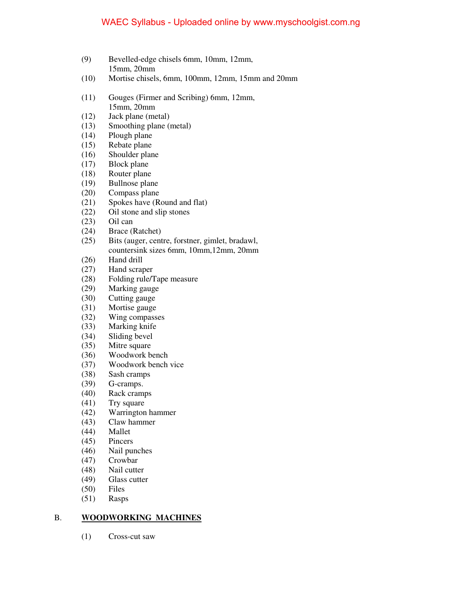- (9) Bevelled-edge chisels 6mm, 10mm, 12mm, 15mm, 20mm
- (10) Mortise chisels, 6mm, 100mm, 12mm, 15mm and 20mm
- (11) Gouges (Firmer and Scribing) 6mm, 12mm,
- 15mm, 20mm<br>(12) Jack plane (me Jack plane (metal)
- (13) Smoothing plane (metal)
- (14) Plough plane
- (15) Rebate plane
- (16) Shoulder plane
- (17) Block plane
- (18) Router plane<br>(19) Bullnose plan
- Bullnose plane
- (20) Compass plane
- (21) Spokes have (Round and flat)
- (22) Oil stone and slip stones
- (23) Oil can
- (24) Brace (Ratchet)
- (25) Bits (auger, centre, forstner, gimlet, bradawl, countersink sizes 6mm, 10mm,12mm, 20mm
- (26) Hand drill
- (27) Hand scraper
- (28) Folding rule/Tape measure
- (29) Marking gauge
- (30) Cutting gauge
- (31) Mortise gauge
- (32) Wing compasses
- (33) Marking knife
- (34) Sliding bevel
- (35) Mitre square
- (36) Woodwork bench
- (37) Woodwork bench vice
- (38) Sash cramps
- (39) G-cramps.
- (40) Rack cramps
- (41) Try square<br>(42) Warrington
- Warrington hammer
- (43) Claw hammer
- (44) Mallet
- (45) Pincers
- (46) Nail punches
- (47) Crowbar
- (48) Nail cutter
- (49) Glass cutter
- (50) Files
- (51) Rasps

### B. **WOODWORKING MACHINES**

(1) Cross-cut saw